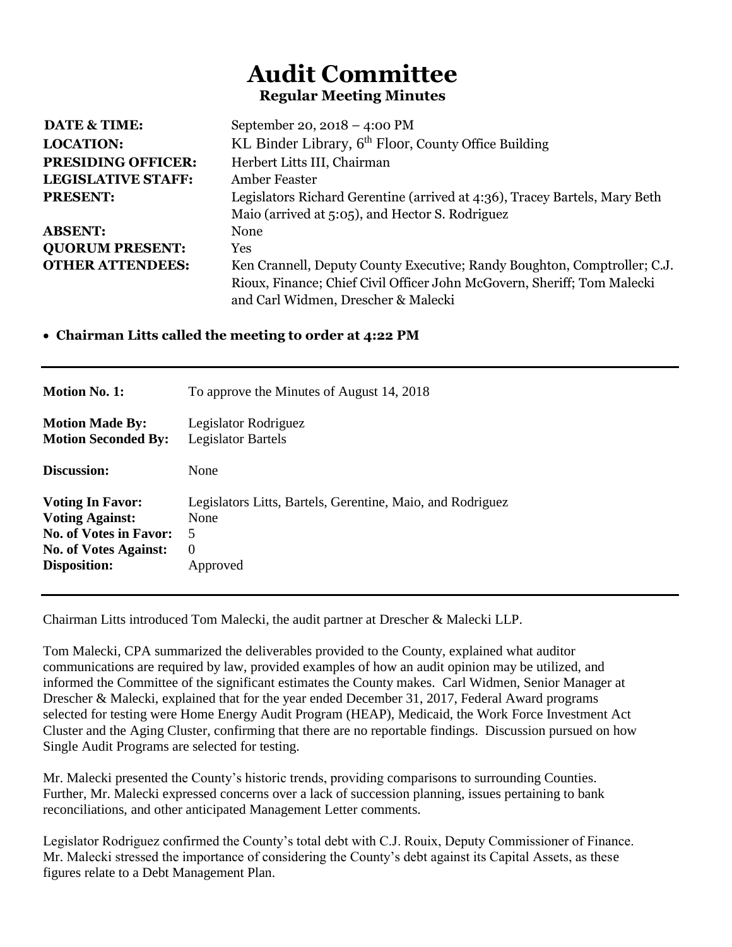# **Audit Committee Regular Meeting Minutes**

| <b>DATE &amp; TIME:</b>   | September 20, $2018 - 4:00 \text{ PM}$                                     |
|---------------------------|----------------------------------------------------------------------------|
| <b>LOCATION:</b>          | KL Binder Library, 6 <sup>th</sup> Floor, County Office Building           |
| <b>PRESIDING OFFICER:</b> | Herbert Litts III, Chairman                                                |
| <b>LEGISLATIVE STAFF:</b> | Amber Feaster                                                              |
| <b>PRESENT:</b>           | Legislators Richard Gerentine (arrived at 4:36), Tracey Bartels, Mary Beth |
|                           | Maio (arrived at 5:05), and Hector S. Rodriguez                            |
| <b>ABSENT:</b>            | None                                                                       |
| <b>QUORUM PRESENT:</b>    | Yes                                                                        |
| <b>OTHER ATTENDEES:</b>   | Ken Crannell, Deputy County Executive; Randy Boughton, Comptroller; C.J.   |
|                           | Rioux, Finance; Chief Civil Officer John McGovern, Sheriff; Tom Malecki    |
|                           | and Carl Widmen, Drescher & Malecki                                        |

# • **Chairman Litts called the meeting to order at 4:22 PM**

| <b>Motion No. 1:</b>          | To approve the Minutes of August 14, 2018                  |
|-------------------------------|------------------------------------------------------------|
| <b>Motion Made By:</b>        | Legislator Rodriguez                                       |
| <b>Motion Seconded By:</b>    | Legislator Bartels                                         |
| Discussion:                   | None                                                       |
| <b>Voting In Favor:</b>       | Legislators Litts, Bartels, Gerentine, Maio, and Rodriguez |
| <b>Voting Against:</b>        | None                                                       |
| <b>No. of Votes in Favor:</b> | 5                                                          |
| <b>No. of Votes Against:</b>  | $\Omega$                                                   |
| Disposition:                  | Approved                                                   |

Chairman Litts introduced Tom Malecki, the audit partner at Drescher & Malecki LLP.

Tom Malecki, CPA summarized the deliverables provided to the County, explained what auditor communications are required by law, provided examples of how an audit opinion may be utilized, and informed the Committee of the significant estimates the County makes. Carl Widmen, Senior Manager at Drescher & Malecki, explained that for the year ended December 31, 2017, Federal Award programs selected for testing were Home Energy Audit Program (HEAP), Medicaid, the Work Force Investment Act Cluster and the Aging Cluster, confirming that there are no reportable findings. Discussion pursued on how Single Audit Programs are selected for testing.

Mr. Malecki presented the County's historic trends, providing comparisons to surrounding Counties. Further, Mr. Malecki expressed concerns over a lack of succession planning, issues pertaining to bank reconciliations, and other anticipated Management Letter comments.

Legislator Rodriguez confirmed the County's total debt with C.J. Rouix, Deputy Commissioner of Finance. Mr. Malecki stressed the importance of considering the County's debt against its Capital Assets, as these figures relate to a Debt Management Plan.